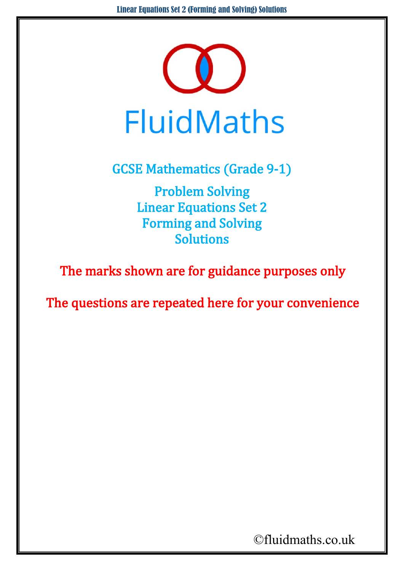

GCSE Mathematics (Grade 9-1)

Problem Solving Linear Equations Set 2 Forming and Solving Solutions

The marks shown are for guidance purposes only

The questions are repeated here for your convenience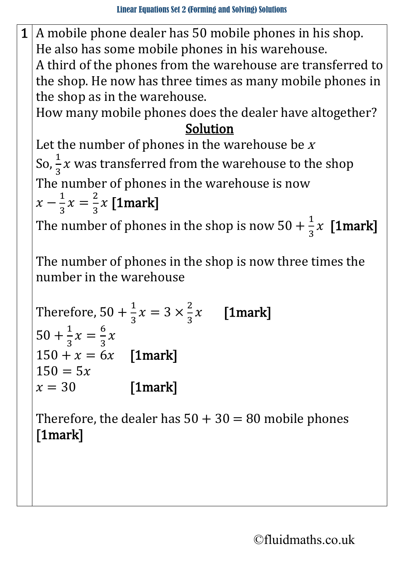$1 \mid A$  mobile phone dealer has 50 mobile phones in his shop. He also has some mobile phones in his warehouse. A third of the phones from the warehouse are transferred to the shop. He now has three times as many mobile phones in

the shop as in the warehouse.

How many mobile phones does the dealer have altogether? Solution

Let the number of phones in the warehouse be  $x$ So,  $\frac{1}{3}x$  was transferred from the warehouse to the shop The number of phones in the warehouse is now  $x-\frac{1}{3}x=$ 2  $\frac{1}{3}x$  [1mark]

The number of phones in the shop is now  $50 + \frac{1}{3}x$  [1mark]

The number of phones in the shop is now three times the number in the warehouse

Therefore, 
$$
50 + \frac{1}{3}x = 3 \times \frac{2}{3}x
$$
 [1mark]  
\n $50 + \frac{1}{3}x = \frac{6}{3}x$   
\n $150 + x = 6x$  [1mark]  
\n $150 = 5x$   
\n $x = 30$  [1mark]

Therefore, the dealer has  $50 + 30 = 80$  mobile phones [1mark]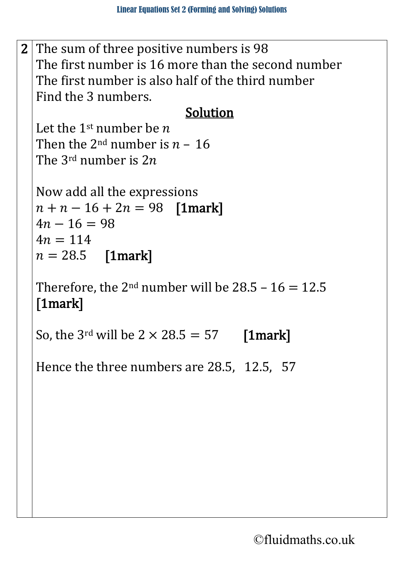2 The sum of three positive numbers is 98 The first number is 16 more than the second number The first number is also half of the third number Find the 3 numbers.

## Solution

Let the 1<sup>st</sup> number be  $n$ Then the 2<sup>nd</sup> number is  $n - 16$ The 3<sup>rd</sup> number is  $2n$ 

```
Now add all the expressions 
n + n - 16 + 2n = 98 [1mark]
4n - 16 = 984n = 114n = 28.5 [1mark]
```
Therefore, the  $2^{nd}$  number will be  $28.5 - 16 = 12.5$ [1mark]

So, the 3<sup>rd</sup> will be  $2 \times 28.5 = 57$  [1mark]

Hence the three numbers are 28.5, 12.5, 57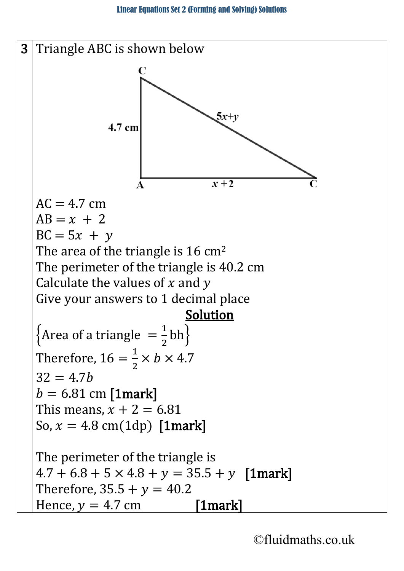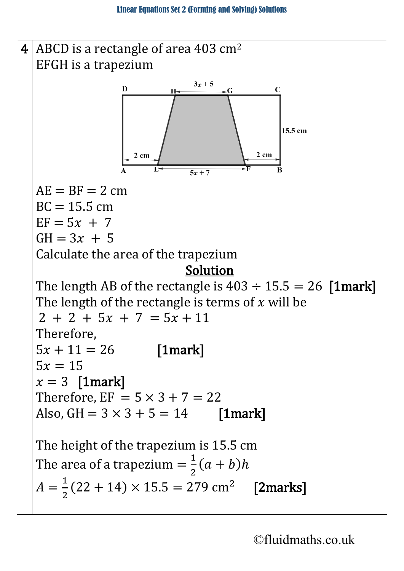